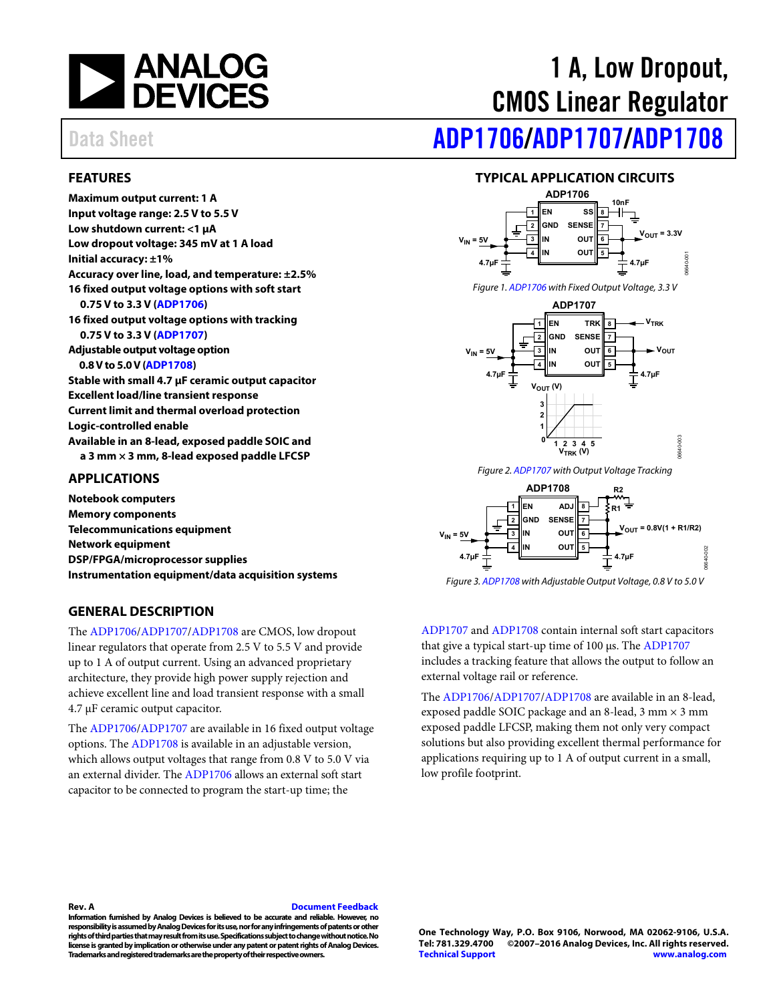

### <span id="page-0-0"></span>**FEATURES**

**Maximum output current: 1 A Input voltage range: 2.5 V to 5.5V Low shutdown current: <1 µA Low dropout voltage: 345 mV at 1 A load Initial accuracy: ±1% Accuracy over line, load, and temperature: ±2.5% 16 fixed output voltage options with soft start 0.75 V to 3.3 V [\(ADP1706\)](http://www.analog.com/ADP1706?doc=ADP1706_1707_1708.pdf) 16 fixed output voltage options with tracking 0.75 V to 3.3 V [\(ADP1707\)](http://www.analog.com/ADP1707?doc=ADP1706_1707_1708.pdf) Adjustable output voltage option 0.8 V to 5.0 V [\(ADP1708\)](http://www.analog.com/ADP1708?doc=ADP1706_1707_1708.pdf) Stable with small 4.7 µF ceramic output capacitor Excellent load/line transient response Current limit and thermal overload protection Logic-controlled enable Available in an 8-lead, exposed paddle SOIC and a 3 mm × 3 mm, 8-lead exposed paddle LFCSP** 

#### <span id="page-0-1"></span>**APPLICATIONS**

**Notebook computers Memory components Telecommunications equipment Network equipment DSP/FPGA/microprocessor supplies Instrumentation equipment/data acquisition systems**

#### <span id="page-0-3"></span>**GENERAL DESCRIPTION**

The [ADP1706](http://www.analog.com/ADP1706?doc=ADP1706_1707_1708.pdf)[/ADP1707/](http://www.analog.com/ADP1707?doc=ADP1706_1707_1708.pdf)[ADP1708](http://www.analog.com/ADP1708?doc=ADP1706_1707_1708.pdf) are CMOS, low dropout linear regulators that operate from 2.5 V to 5.5 V and provide up to 1 A of output current. Using an advanced proprietary architecture, they provide high power supply rejection and achieve excellent line and load transient response with a small 4.7 µF ceramic output capacitor.

The [ADP1706](http://www.analog.com/ADP1706?doc=ADP1706_1707_1708.pdf)[/ADP1707](http://www.analog.com/ADP1707?doc=ADP1706_1707_1708.pdf) are available in 16 fixed output voltage options. The [ADP1708](http://www.analog.com/ADP1708?doc=ADP1706_1707_1708.pdf) is available in an adjustable version, which allows output voltages that range from 0.8 V to 5.0 V via an external divider. The [ADP1706](http://www.analog.com/ADP1706?doc=ADP1706_1707_1708.pdf) allows an external soft start capacitor to be connected to program the start-up time; the

# 1 A, Low Dropout, CMOS Linear Regulator

# Data Sheet **[ADP1706](http://www.analog.com/ADP1706?doc=ADP1706_1707_1708.pdf)[/ADP1707](http://www.analog.com/ADP1707?doc=ADP1706_1707_1708.pdf)[/ADP1708](http://www.analog.com/ADP1708?doc=ADP1706_1707_1708.pdf)**

#### **TYPICAL APPLICATION CIRCUITS**

<span id="page-0-2"></span>

*Figure 1[. ADP1706](http://www.analog.com/ADP1706?doc=ADP1706_1707_1708.pdf) with Fixed Output Voltage, 3.3 V*



*Figure 2[. ADP1707](http://www.analog.com/ADP1707?doc=ADP1706_1707_1708.pdf) with Output Voltage Tracking*



*Figure 3[. ADP1708](http://www.analog.com/ADP1708?doc=ADP1706_1707_1708.pdf) with Adjustable Output Voltage, 0.8 V to 5.0 V*

[ADP1707](http://www.analog.com/ADP1707?doc=ADP1706_1707_1708.pdf) an[d ADP1708](http://www.analog.com/ADP1708?doc=ADP1706_1707_1708.pdf) contain internal soft start capacitors that give a typical start-up time of 100 µs. Th[e ADP1707](http://www.analog.com/ADP1707?doc=ADP1706_1707_1708.pdf) includes a tracking feature that allows the output to follow an external voltage rail or reference.

The [ADP1706](http://www.analog.com/ADP1706?doc=ADP1706_1707_1708.pdf)[/ADP1707/](http://www.analog.com/ADP1707?doc=ADP1706_1707_1708.pdf)[ADP1708](http://www.analog.com/ADP1708?doc=ADP1706_1707_1708.pdf) are available in an 8-lead, exposed paddle SOIC package and an 8-lead,  $3$  mm  $\times$   $3$  mm exposed paddle LFCSP, making them not only very compact solutions but also providing excellent thermal performance for applications requiring up to 1 A of output current in a small, low profile footprint.

#### **Rev. A [Document Feedback](https://form.analog.com/Form_Pages/feedback/documentfeedback.aspx?doc=ADP1706_1707_1708.pdf&product=ADP1706%20ADP1707%20ADP1708&rev=A)**

**Information furnished by Analog Devices is believed to be accurate and reliable. However, no responsibility is assumed by Analog Devices for its use, nor for any infringements of patents orother rights of third parties that may result from its use. Specifications subject to change without notice. No license is granted by implication or otherwise under any patent or patent rights of Analog Devices. Trademarks and registered trademarks are the property of their respective owners.**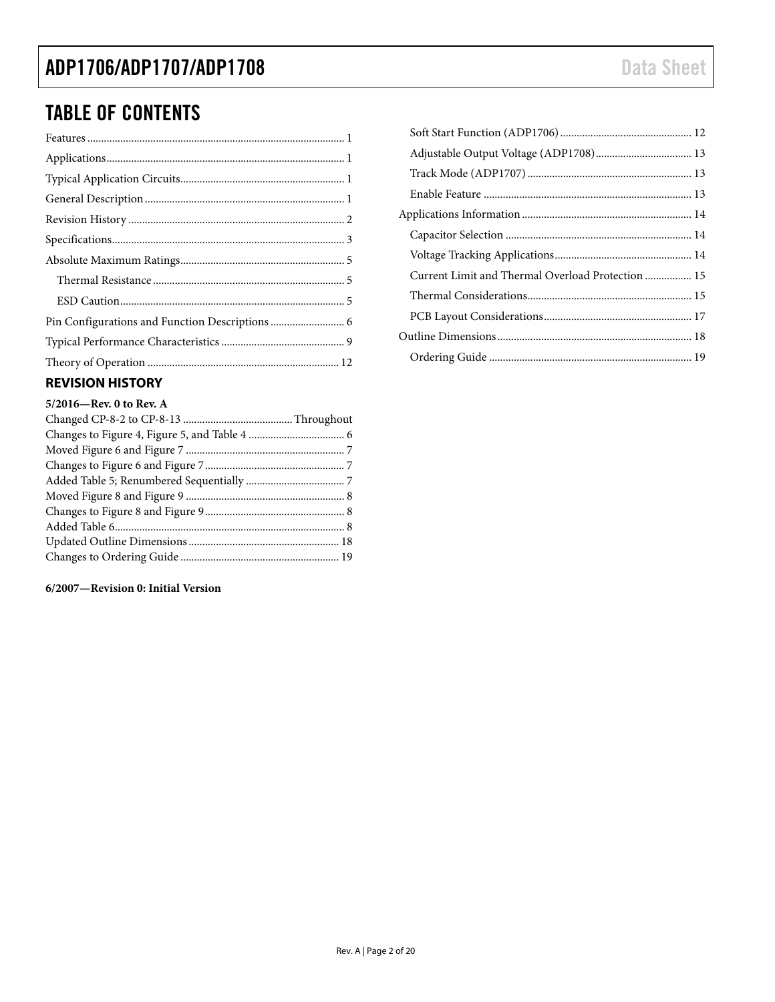### TABLE OF CONTENTS

### <span id="page-1-0"></span>**REVISION HISTORY**

#### **5/2016—Rev. 0 to Rev. A**

#### **6/2007—Revision 0: Initial Version**

| Current Limit and Thermal Overload Protection  15 |  |
|---------------------------------------------------|--|
|                                                   |  |
|                                                   |  |
|                                                   |  |
|                                                   |  |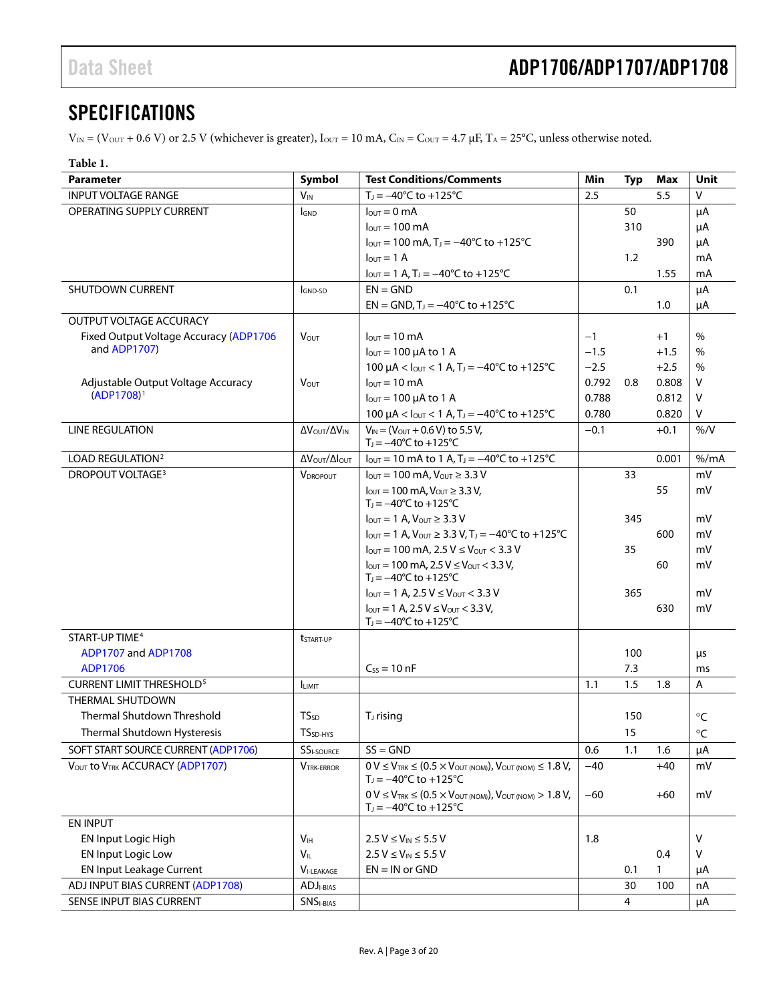### <span id="page-2-0"></span>**SPECIFICATIONS**

 $V_{\text{IN}} = (V_{\text{OUT}} + 0.6 V)$  or 2.5 V (whichever is greater),  $I_{\text{OUT}} = 10 \text{ mA}$ ,  $C_{\text{IN}} = C_{\text{OUT}} = 4.7 \mu\text{F}$ ,  $T_{\text{A}} = 25^{\circ}\text{C}$ , unless otherwise noted.

### <span id="page-2-1"></span>**Table 1.**

| Parameter                                              | Symbol                  | <b>Test Conditions/Comments</b>                                                                                              | Min            | Typ            | Max    | <b>Unit</b> |
|--------------------------------------------------------|-------------------------|------------------------------------------------------------------------------------------------------------------------------|----------------|----------------|--------|-------------|
| <b>INPUT VOLTAGE RANGE</b>                             | <b>V<sub>IN</sub></b>   | $T_1 = -40^{\circ}$ C to $+125^{\circ}$ C                                                                                    | 2.5            |                | 5.5    | V           |
| OPERATING SUPPLY CURRENT                               | <b>I</b> GND            | $l_{\text{OUT}} = 0$ mA                                                                                                      |                | 50             |        | μA          |
|                                                        |                         | $l_{\text{OUT}} = 100 \text{ mA}$                                                                                            |                | 310            |        | μA          |
|                                                        |                         | $I_{\text{OUT}} = 100 \text{ mA}$ , T <sub>J</sub> = $-40^{\circ}$ C to +125 <sup>°</sup> C                                  |                |                | 390    | μA          |
|                                                        |                         | $I_{\text{OUT}} = 1$ A                                                                                                       |                | 1.2            |        | mA          |
|                                                        |                         | $I_{\text{OUT}} = 1$ A, T <sub>J</sub> = $-40^{\circ}$ C to +125 <sup>o</sup> C                                              |                |                | 1.55   | mA          |
| SHUTDOWN CURRENT                                       | I <sub>GND-SD</sub>     | $EN = GND$                                                                                                                   |                | 0.1            |        | μA          |
|                                                        |                         | $EN = GND$ , $T_1 = -40^{\circ}C$ to $+125^{\circ}C$                                                                         |                |                | 1.0    | μA          |
| <b>OUTPUT VOLTAGE ACCURACY</b>                         |                         |                                                                                                                              |                |                |        |             |
| Fixed Output Voltage Accuracy (ADP1706<br>and ADP1707) | <b>V</b> <sub>OUT</sub> | $l_{\text{out}} = 10 \text{ mA}$                                                                                             | $-1$           |                | $+1$   | $\%$        |
|                                                        |                         | $I_{\text{OUT}} = 100 \mu A$ to 1 A                                                                                          | $-1.5$         |                | $+1.5$ | $\%$        |
|                                                        |                         | 100 $\mu$ A < $I_{\text{OUT}}$ < 1 A, T <sub>J</sub> = -40°C to +125°C                                                       | $-2.5$         |                | $+2.5$ | $\%$        |
| Adjustable Output Voltage Accuracy<br>$(ADP1708)^1$    | V <sub>OUT</sub>        | $I_{OUT} = 10 \text{ mA}$                                                                                                    | 0.792<br>0.788 | 0.8            | 0.808  | V<br>V      |
|                                                        |                         | $I_{\text{OUT}} = 100 \mu A$ to 1 A                                                                                          | 0.780          |                | 0.812  |             |
| <b>LINE REGULATION</b>                                 |                         | 100 $\mu$ A < $I_{\text{OUT}}$ < 1 A, T <sub>J</sub> = -40°C to +125°C<br>$V_{IN} = (V_{OUT} + 0.6 V)$ to 5.5 V,             |                |                | 0.820  | V<br>$%$ /V |
|                                                        | Δ VOUT/Δ VIN            | $T_1 = -40^{\circ}C$ to $+125^{\circ}C$                                                                                      | $-0.1$         |                | $+0.1$ |             |
| LOAD REGULATION <sup>2</sup>                           | Δ V ουτ/ΔΙουτ           | $I_{\text{OUT}} = 10 \text{ mA}$ to 1 A, T <sub>J</sub> = $-40^{\circ}$ C to +125 <sup>°</sup> C                             |                |                | 0.001  | % /mA       |
| <b>DROPOUT VOLTAGE<sup>3</sup></b>                     | <b>V</b> DROPOUT        | $I_{\text{OUT}} = 100 \text{ mA}, V_{\text{OUT}} \geq 3.3 \text{ V}$                                                         |                | 33             |        | mV          |
|                                                        |                         | $I_{\text{OUT}} = 100 \text{ mA}$ , $V_{\text{OUT}} \geq 3.3 \text{ V}$ ,<br>$T_1 = -40^{\circ}C$ to $+125^{\circ}C$         |                |                | 55     | mV          |
|                                                        |                         | $I_{\text{OUT}} = 1$ A, $V_{\text{OUT}} \geq 3.3$ V                                                                          |                | 345            |        | mV          |
|                                                        |                         | $I_{\text{OUT}} = 1$ A, $V_{\text{OUT}} \geq 3.3$ V, $T_1 = -40^{\circ}$ C to $+125^{\circ}$ C                               |                |                | 600    | mV          |
|                                                        |                         | $I_{\text{OUT}} = 100 \text{ mA}$ , 2.5 V $\leq$ V <sub>OUT</sub> $<$ 3.3 V                                                  |                | 35             |        | mV          |
|                                                        |                         | $I_{\text{OUT}} = 100 \text{ mA}$ , 2.5 $V \leq V_{\text{OUT}} < 3.3 \text{ V}$ ,<br>$T_1 = -40^{\circ}C$ to $+125^{\circ}C$ |                |                | 60     | mV          |
|                                                        |                         | $I_{\text{OUT}} = 1 \text{ A}$ , 2.5 V $\leq$ V <sub>OUT</sub> $<$ 3.3 V                                                     |                | 365            |        | mV          |
|                                                        |                         | $I_{\text{OUT}} = 1 \text{ A}$ , 2.5 $V \leq V_{\text{OUT}} < 3.3 \text{ V}$ ,                                               |                |                | 630    | mV          |
|                                                        |                         | $T_1 = -40^{\circ}C$ to $+125^{\circ}C$                                                                                      |                |                |        |             |
| START-UP TIME <sup>4</sup>                             | tstart-up               |                                                                                                                              |                |                |        |             |
| ADP1707 and ADP1708                                    |                         |                                                                                                                              |                | 100            |        | μs          |
| ADP1706                                                |                         | $C_{SS} = 10$ nF                                                                                                             |                | 7.3            |        | ms          |
| <b>CURRENT LIMIT THRESHOLD<sup>5</sup></b>             | <b>ILIMIT</b>           |                                                                                                                              | 1.1            | 1.5            | 1.8    | Α           |
| THERMAL SHUTDOWN                                       |                         |                                                                                                                              |                |                |        |             |
| Thermal Shutdown Threshold                             | <b>TS</b> <sub>sD</sub> | T <sub>J</sub> rising                                                                                                        |                | 150            |        | $^{\circ}C$ |
| Thermal Shutdown Hysteresis                            | TS <sub>SD-HYS</sub>    |                                                                                                                              |                | 15             |        | $\circ$ C   |
| SOFT START SOURCE CURRENT (ADP1706)                    | SSI-SOURCE              | $SS = GND$                                                                                                                   | 0.6            | 1.1            | 1.6    | μA          |
| VOUT to VTRK ACCURACY (ADP1707)                        | <b>VTRK-ERROR</b>       | $0 V \leq V_{TRK} \leq (0.5 \times V_{OUT(NOM)})$ , $V_{OUT(NOM)} \leq 1.8 V$ ,<br>$T_1 = -40^{\circ}C$ to $+125^{\circ}C$   | $-40$          |                | $+40$  | mV          |
|                                                        |                         | $0 V \leq V_{TRK} \leq (0.5 \times V_{OUT(NOM)})$ , $V_{OUT(NOM)} > 1.8 V$ ,<br>$T_J = -40^{\circ}C$ to $+125^{\circ}C$      | $-60$          |                | $+60$  | mV          |
| <b>EN INPUT</b>                                        |                         |                                                                                                                              |                |                |        |             |
| EN Input Logic High                                    | Vн                      | $2.5 V \leq V_{IN} \leq 5.5 V$                                                                                               | 1.8            |                |        | V           |
| <b>EN Input Logic Low</b>                              | $V_{IL}$                | $2.5 V \leq V_{IN} \leq 5.5 V$                                                                                               |                |                | 0.4    | V           |
| <b>EN Input Leakage Current</b>                        | $VI-LEAKAGE$            | $EN = IN$ or $GND$                                                                                                           |                | 0.1            | 1      | μA          |
| ADJ INPUT BIAS CURRENT (ADP1708)                       | ADJ <sub>I-BIAS</sub>   |                                                                                                                              |                | 30             | 100    | nA          |
| SENSE INPUT BIAS CURRENT                               | <b>SNSI-BIAS</b>        |                                                                                                                              |                | $\overline{4}$ |        | μA          |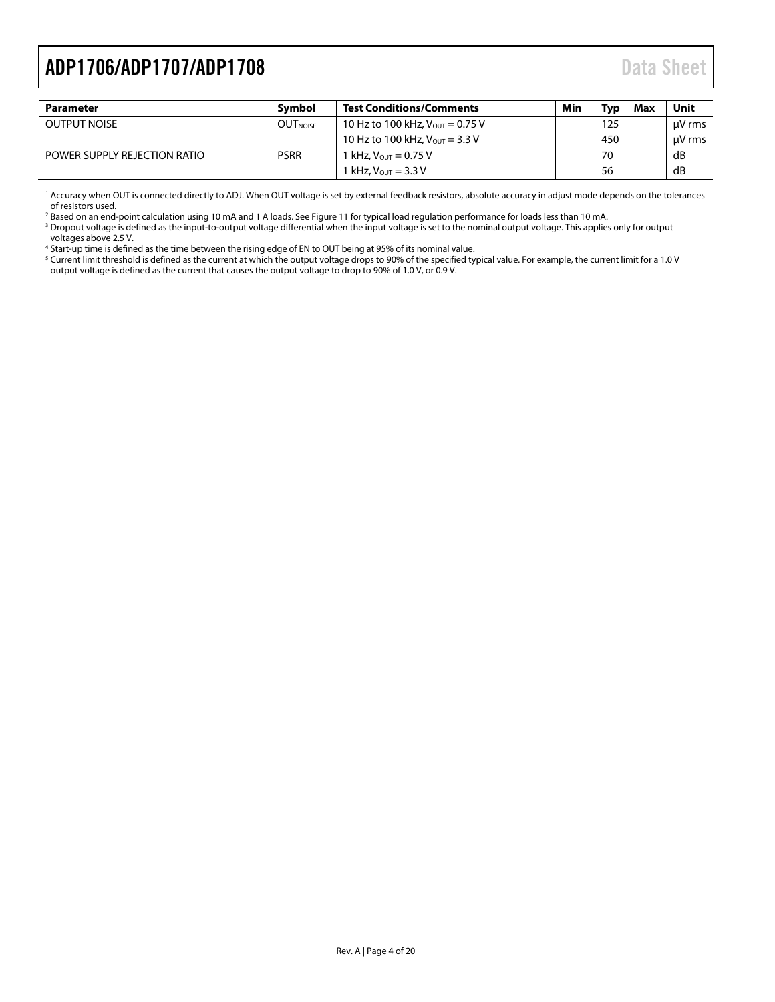<span id="page-3-0"></span>

| <b>Parameter</b>             | Symbol          | <b>Test Conditions/Comments</b>                    | Min<br>Tvɒ | Max | Unit   |
|------------------------------|-----------------|----------------------------------------------------|------------|-----|--------|
| <b>OUTPUT NOISE</b>          | <b>OUTNOISE</b> | 10 Hz to 100 kHz, $V_{\text{OUT}} = 0.75$ V        | 125        |     | uV rms |
|                              |                 | 10 Hz to 100 kHz, $V_{\text{OUT}} = 3.3 \text{ V}$ | 450        |     | uV rms |
| POWER SUPPLY REJECTION RATIO | <b>PSRR</b>     | 1 kHz, $V_{\text{OUT}} = 0.75 V$                   | 70         |     | dB     |
|                              |                 | 1 kHz. $V_{OUT} = 3.3 V$                           | 56         |     | dB     |

<sup>1</sup> Accuracy when OUT is connected directly to ADJ. When OUT voltage is set by external feedback resistors, absolute accuracy in adjust mode depends on the tolerances of resistors used.

<sup>2</sup> Based on an end-point calculation using 10 mA and 1 A loads. Se[e Figure 11](#page-8-1) for typical load regulation performance for loads less than 10 mA.

<sup>3</sup> Dropout voltage is defined as the input-to-output voltage differential when the input voltage is set to the nominal output voltage. This applies only for output voltages above 2.5 V.

<sup>4</sup> Start-up time is defined as the time between the rising edge of EN to OUT being at 95% of its nominal value.

<sup>5</sup> Current limit threshold is defined as the current at which the output voltage drops to 90% of the specified typical value. For example, the current limit for a 1.0 V output voltage is defined as the current that causes the output voltage to drop to 90% of 1.0 V, or 0.9 V.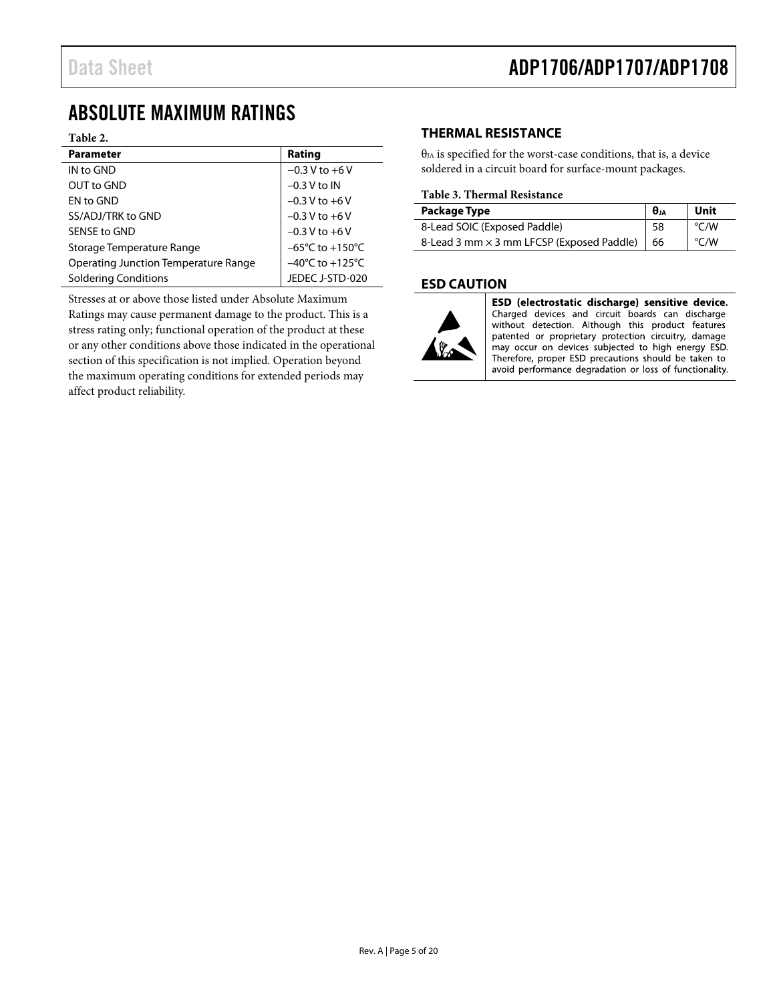### <span id="page-4-0"></span>ABSOLUTE MAXIMUM RATINGS

#### **Table 2.**

| <b>Parameter</b>                     | Rating                              |
|--------------------------------------|-------------------------------------|
| IN to GND                            | $-0.3 V$ to $+6 V$                  |
| OUT to GND                           | $-0.3$ V to IN                      |
| <b>EN to GND</b>                     | $-0.3 V$ to $+6 V$                  |
| SS/ADJ/TRK to GND                    | $-0.3 V$ to $+6 V$                  |
| SENSE to GND                         | $-0.3 V$ to $+6 V$                  |
| Storage Temperature Range            | $-65^{\circ}$ C to $+150^{\circ}$ C |
| Operating Junction Temperature Range | $-40^{\circ}$ C to $+125^{\circ}$ C |
| <b>Soldering Conditions</b>          | JEDEC J-STD-020                     |

Stresses at or above those listed under Absolute Maximum Ratings may cause permanent damage to the product. This is a stress rating only; functional operation of the product at these or any other conditions above those indicated in the operational section of this specification is not implied. Operation beyond the maximum operating conditions for extended periods may affect product reliability.

### <span id="page-4-1"></span>**THERMAL RESISTANCE**

 $\theta_{JA}$  is specified for the worst-case conditions, that is, a device soldered in a circuit board for surface-mount packages.

#### **Table 3. Thermal Resistance**

| Package Type                                          | $\theta$ JA | Unit |
|-------------------------------------------------------|-------------|------|
| 8-Lead SOIC (Exposed Paddle)                          | 58          | °C/W |
| 8-Lead 3 mm $\times$ 3 mm LFCSP (Exposed Paddle)   66 |             | °C/W |

#### <span id="page-4-2"></span>**ESD CAUTION**



ESD (electrostatic discharge) sensitive device. Charged devices and circuit boards can discharge without detection. Although this product features patented or proprietary protection circuitry, damage may occur on devices subjected to high energy ESD. Therefore, proper ESD precautions should be taken to avoid performance degradation or loss of functionality.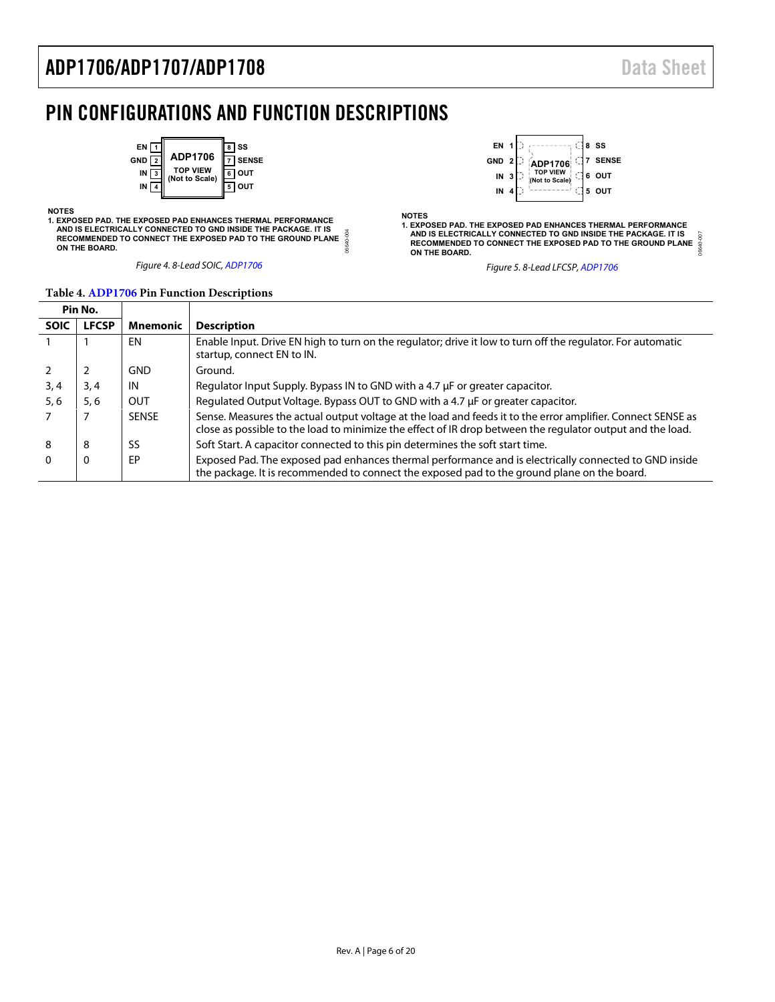### <span id="page-5-0"></span>PIN CONFIGURATIONS AND FUNCTION DESCRIPTIONS



#### **NOTES**

**1. EXPOSED PAD. THE EXPOSED PAD ENHANCES THERMAL PERFORMANCE AND IS ELECTRICALLY CONNECTED TO GND INSIDE THE PACKAGE. IT IS** 06640-004 06640-004  **RECOMMENDED TO CONNECT THE EXPOSED PAD TO THE GROUND PLANE ON THE BOARD.**

Figure 4. 8-Lead SOIC[, ADP1706](http://www.analog.com/ADP1706?doc=ADP1706_1707_1708.pdf)



#### **Table 4[. ADP1706 P](http://www.analog.com/ADP1706?doc=ADP1706_1707_1708.pdf)in Function Descriptions**

|             | Pin No.      |                 |                                                                                                                                                                                                                           |
|-------------|--------------|-----------------|---------------------------------------------------------------------------------------------------------------------------------------------------------------------------------------------------------------------------|
| <b>SOIC</b> | <b>LFCSP</b> | <b>Mnemonic</b> | <b>Description</b>                                                                                                                                                                                                        |
|             |              | EN              | Enable Input. Drive EN high to turn on the regulator; drive it low to turn off the regulator. For automatic<br>startup, connect EN to IN.                                                                                 |
|             |              | <b>GND</b>      | Ground.                                                                                                                                                                                                                   |
| 3,4         | 3, 4         | IN              | Regulator Input Supply. Bypass IN to GND with a 4.7 µF or greater capacitor.                                                                                                                                              |
| 5, 6        | 5.6          | OUT             | Regulated Output Voltage. Bypass OUT to GND with a 4.7 µF or greater capacitor.                                                                                                                                           |
|             |              | <b>SENSE</b>    | Sense. Measures the actual output voltage at the load and feeds it to the error amplifier. Connect SENSE as<br>close as possible to the load to minimize the effect of IR drop between the regulator output and the load. |
| 8           | 8            | SS              | Soft Start. A capacitor connected to this pin determines the soft start time.                                                                                                                                             |
|             | 0            | EP              | Exposed Pad. The exposed pad enhances thermal performance and is electrically connected to GND inside<br>the package. It is recommended to connect the exposed pad to the ground plane on the board.                      |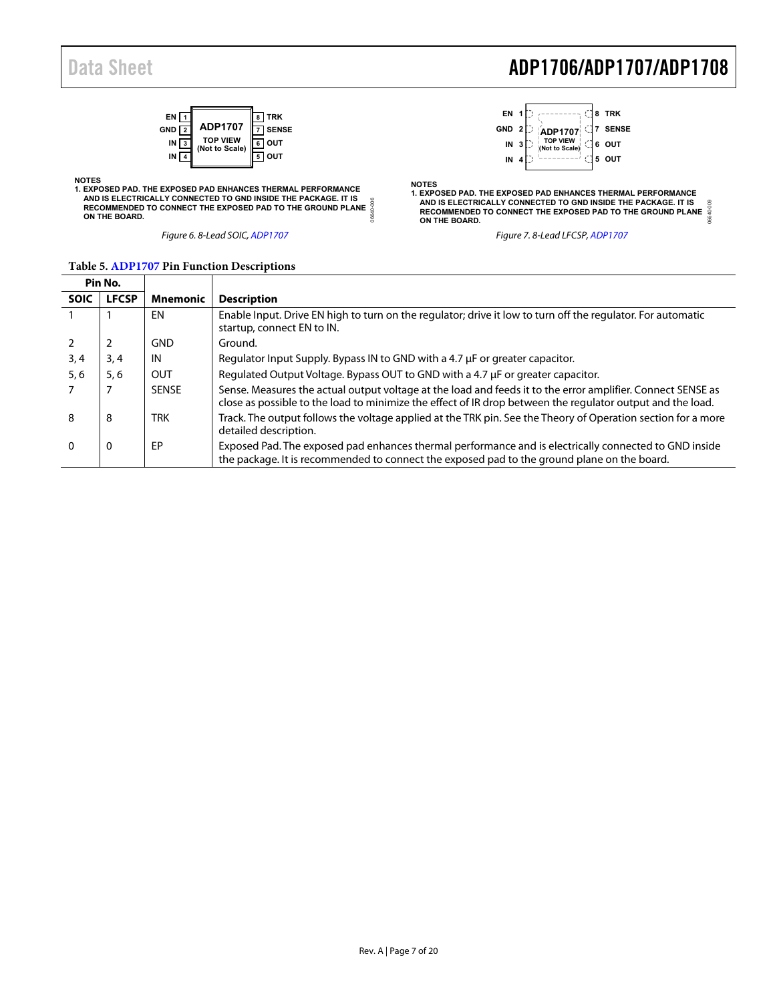

06640-006 NOTES<br>1. EXPOSED PAD. THE EXPOSED PAD ENHANCES THERMAL PERFORMANCE<br>AND IS ELECTRICALLY CONNECTED TO GND INSIDE THE PACKAGE. IT IS<br>RECOMMENDED TO CONNECT THE EXPOSED PAD TO THE GROUND PLANE<br>ON THE BOARD.

## Data Sheet **ADP1706/ADP1707/ADP1708**



06640-009 NOTES<br>1. EXPOSED PAD. THE EXPOSED PAD ENHANCES THERMAL PERFORMANCE<br>AND IS ELECTRICALLY CONNECTED TO GND INSIDE THE PACKAGE. IT IS<br>RECOMMENDED TO CONNECT THE EXPOSED PAD TO THE GROUND PLANE<br>ON THE BOARD.

Figure 6. 8-Lead SOIC[, ADP1707](http://www.analog.com/ADP1707?doc=ADP1706_1707_1708.pdf) **Figure 7. 8-Lead LFCSP**[, ADP1707](http://www.analog.com/ADP1707?doc=ADP1706_1707_1708.pdf)

| Pin No.     |              |            |                                                                                                                                                                                                                           |
|-------------|--------------|------------|---------------------------------------------------------------------------------------------------------------------------------------------------------------------------------------------------------------------------|
| <b>SOIC</b> | <b>LFCSP</b> | Mnemonic   | <b>Description</b>                                                                                                                                                                                                        |
|             |              | EN         | Enable Input. Drive EN high to turn on the regulator; drive it low to turn off the regulator. For automatic<br>startup, connect EN to IN.                                                                                 |
|             |              | <b>GND</b> | Ground.                                                                                                                                                                                                                   |
| 3,4         | 3,4          | IN         | Regulator Input Supply. Bypass IN to GND with a 4.7 µF or greater capacitor.                                                                                                                                              |
| 5, 6        | 5,6          | OUT        | Regulated Output Voltage. Bypass OUT to GND with a 4.7 µF or greater capacitor.                                                                                                                                           |
|             |              | SENSE      | Sense. Measures the actual output voltage at the load and feeds it to the error amplifier. Connect SENSE as<br>close as possible to the load to minimize the effect of IR drop between the regulator output and the load. |
| 8           | 8            | <b>TRK</b> | Track. The output follows the voltage applied at the TRK pin. See the Theory of Operation section for a more<br>detailed description.                                                                                     |
| $\Omega$    | 0            | EP         | Exposed Pad. The exposed pad enhances thermal performance and is electrically connected to GND inside<br>the package. It is recommended to connect the exposed pad to the ground plane on the board.                      |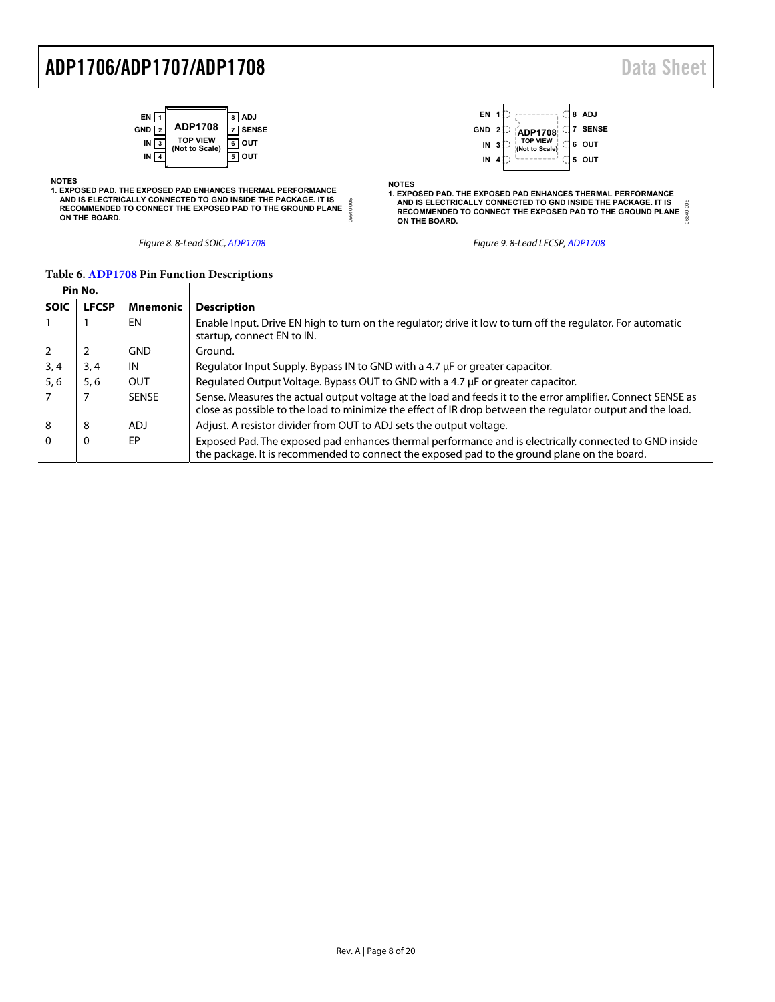

1. EXPOSED PAD. THE EXPOSED PAD ENHANCES THERMAL PERFORMANCE<br>AND IS ELECTRICALLY CONNECTED TO GND INSIDE THE PACKAGE. IT IS<br>RECOMMENDED TO CONNECT THE EXPOSED PAD TO THE GROUND PLANE<br>ON THE BOARD.



Figure 8. 8-Lead SOIC[, ADP1708](http://www.analog.com/ADP1708?doc=ADP1706_1707_1708.pdf) Figure 9. 8-Lead LFCSP[, ADP1708](http://www.analog.com/ADP1708?doc=ADP1706_1707_1708.pdf)

**NOTES**

|             | Pin No.      |                 |                                                                                                                                                                                                                           |
|-------------|--------------|-----------------|---------------------------------------------------------------------------------------------------------------------------------------------------------------------------------------------------------------------------|
| <b>SOIC</b> | <b>LFCSP</b> | <b>Mnemonic</b> | <b>Description</b>                                                                                                                                                                                                        |
|             |              | ΕN              | Enable Input. Drive EN high to turn on the regulator; drive it low to turn off the regulator. For automatic<br>startup, connect EN to IN.                                                                                 |
|             |              | <b>GND</b>      | Ground.                                                                                                                                                                                                                   |
| 3,4         | 3, 4         | IN              | Regulator Input Supply. Bypass IN to GND with a 4.7 µF or greater capacitor.                                                                                                                                              |
| 5, 6        | 5, 6         | OUT             | Regulated Output Voltage. Bypass OUT to GND with a 4.7 µF or greater capacitor.                                                                                                                                           |
|             |              | <b>SENSE</b>    | Sense. Measures the actual output voltage at the load and feeds it to the error amplifier. Connect SENSE as<br>close as possible to the load to minimize the effect of IR drop between the regulator output and the load. |
| 8           | 8            | ADJ             | Adjust. A resistor divider from OUT to ADJ sets the output voltage.                                                                                                                                                       |
|             | 0            | EP              | Exposed Pad. The exposed pad enhances thermal performance and is electrically connected to GND inside<br>the package. It is recommended to connect the exposed pad to the ground plane on the board.                      |

06640-005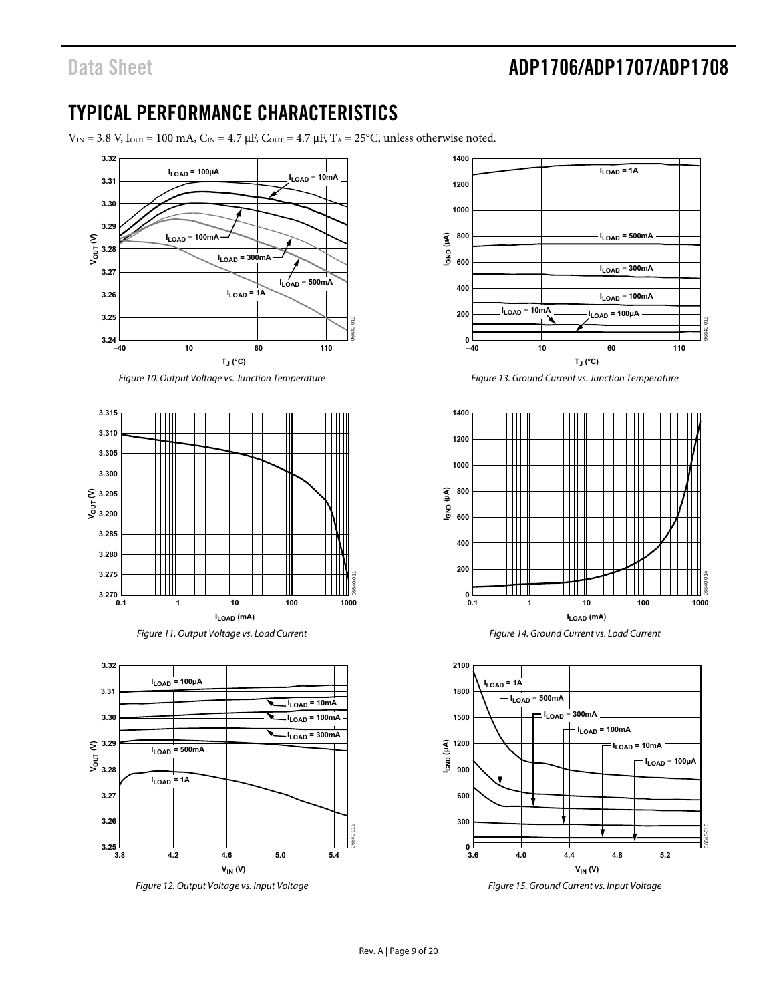### <span id="page-8-0"></span>TYPICAL PERFORMANCE CHARACTERISTICS

 $V_{\text{IN}} = 3.8$  V, I<sub>OUT</sub> = 100 mA, C<sub>IN</sub> = 4.7 μF, C<sub>OUT</sub> = 4.7 μF, T<sub>A</sub> = 25°C, unless otherwise noted.



Figure 10. Output Voltage vs. Junction Temperature





<span id="page-8-1"></span>

Figure 12. Output Voltage vs. Input Voltage



Figure 13. Ground Current vs. Junction Temperature





Figure 15. Ground Current vs. Input Voltage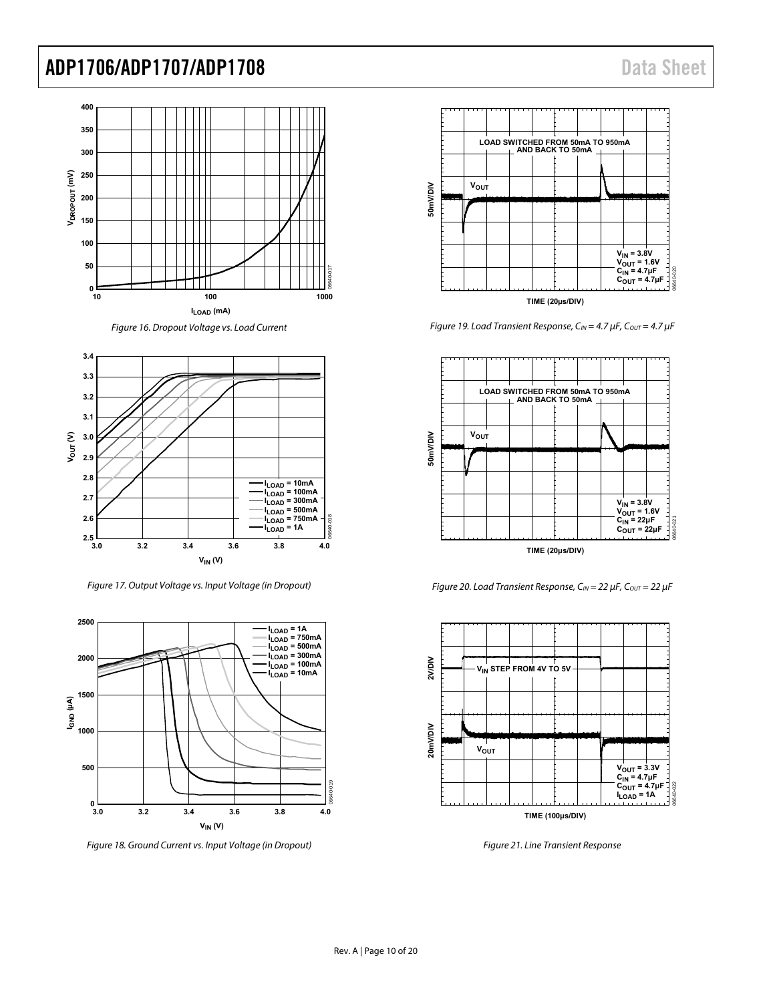









Figure 18. Ground Current vs. Input Voltage (in Dropout)



Figure 19. Load Transient Response,  $C_{IN} = 4.7 \mu F$ ,  $C_{OUT} = 4.7 \mu F$ 



Figure 20. Load Transient Response,  $C_{IN} = 22 \mu F$ ,  $C_{OUT} = 22 \mu F$ 



Figure 21. Line Transient Response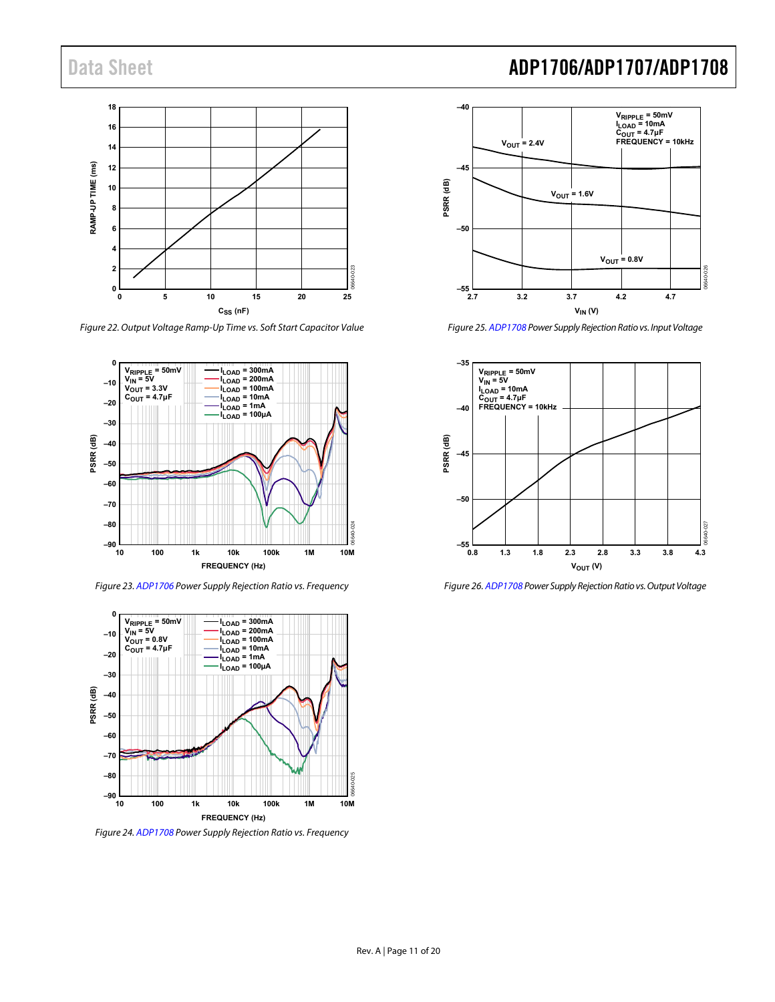

Figure 22. Output Voltage Ramp-Up Time vs. Soft Start Capacitor Value



Figure 23[. ADP1706 P](http://www.analog.com/ADP1706?doc=ADP1706_1707_1708.pdf)ower Supply Rejection Ratio vs. Frequency



Figure 24[. ADP1708 P](http://www.analog.com/ADP1708?doc=ADP1706_1707_1708.pdf)ower Supply Rejection Ratio vs. Frequency

## Data Sheet **ADP1706/ADP1707/ADP1708**



Figure 25[. ADP1708 P](http://www.analog.com/ADP1708?doc=ADP1706_1707_1708.pdf)ower Supply Rejection Ratio vs. Input Voltage



Figure 26[. ADP1708 P](http://www.analog.com/ADP1708?doc=ADP1706_1707_1708.pdf)ower Supply Rejection Ratio vs. Output Voltage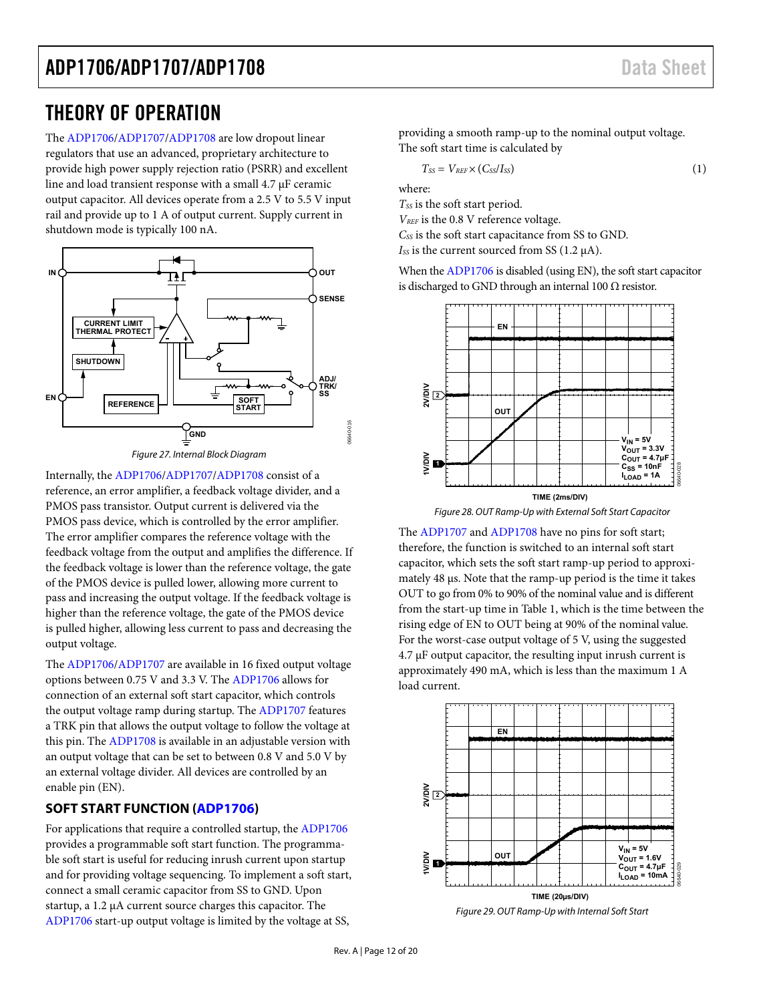### <span id="page-11-0"></span>THEORY OF OPERATION

The [ADP1706](http://www.analog.com/ADP1706?doc=ADP1706_1707_1708.pdf)[/ADP1707/](http://www.analog.com/ADP1707?doc=ADP1706_1707_1708.pdf)[ADP1708 a](http://www.analog.com/ADP1708?doc=ADP1706_1707_1708.pdf)re low dropout linear regulators that use an advanced, proprietary architecture to provide high power supply rejection ratio (PSRR) and excellent line and load transient response with a small 4.7 μF ceramic output capacitor. All devices operate from a 2.5 V to 5.5 V input rail and provide up to 1 A of output current. Supply current in shutdown mode is typically 100 nA.





Internally, the [ADP1706/](http://www.analog.com/ADP1706?doc=ADP1706_1707_1708.pdf)[ADP1707](http://www.analog.com/ADP1707?doc=ADP1706_1707_1708.pdf)[/ADP1708 c](http://www.analog.com/ADP1708?doc=ADP1706_1707_1708.pdf)onsist of a reference, an error amplifier, a feedback voltage divider, and a PMOS pass transistor. Output current is delivered via the PMOS pass device, which is controlled by the error amplifier. The error amplifier compares the reference voltage with the feedback voltage from the output and amplifies the difference. If the feedback voltage is lower than the reference voltage, the gate of the PMOS device is pulled lower, allowing more current to pass and increasing the output voltage. If the feedback voltage is higher than the reference voltage, the gate of the PMOS device is pulled higher, allowing less current to pass and decreasing the output voltage.

The [ADP1706](http://www.analog.com/ADP1706?doc=ADP1706_1707_1708.pdf)[/ADP1707 a](http://www.analog.com/ADP1707?doc=ADP1706_1707_1708.pdf)re available in 16 fixed output voltage options between 0.75 V and 3.3 V. The [ADP1706 a](http://www.analog.com/ADP1706?doc=ADP1706_1707_1708.pdf)llows for connection of an external soft start capacitor, which controls the output voltage ramp during startup. Th[e ADP1707 f](http://www.analog.com/ADP1707?doc=ADP1706_1707_1708.pdf)eatures a TRK pin that allows the output voltage to follow the voltage at this pin. The [ADP1708](http://www.analog.com/ADP1708?doc=ADP1706_1707_1708.pdf) is available in an adjustable version with an output voltage that can be set to between 0.8 V and 5.0 V by an external voltage divider. All devices are controlled by an enable pin (EN).

### <span id="page-11-1"></span>**SOFT START FUNCTION [\(ADP1706\)](http://www.analog.com/ADP1706?doc=ADP1706_1707_1708.pdf)**

For applications that require a controlled startup, the [ADP1706](http://www.analog.com/ADP1706?doc=ADP1706_1707_1708.pdf) provides a programmable soft start function. The programmable soft start is useful for reducing inrush current upon startup and for providing voltage sequencing. To implement a soft start, connect a small ceramic capacitor from SS to GND. Upon startup, a 1.2 μA current source charges this capacitor. The [ADP1706](http://www.analog.com/ADP1706?doc=ADP1706_1707_1708.pdf) start-up output voltage is limited by the voltage at SS,

providing a smooth ramp-up to the nominal output voltage. The soft start time is calculated by

$$
T_{SS} = V_{REF} \times (C_{SS}/I_{SS})
$$
 (1)

where:

T<sub>SS</sub> is the soft start period.

*VREF* is the 0.8 V reference voltage. *CSS* is the soft start capacitance from SS to GND.

 $I_{SS}$  is the current sourced from SS (1.2  $\mu$ A).

When th[e ADP1706 i](http://www.analog.com/ADP1706?doc=ADP1706_1707_1708.pdf)s disabled (using EN), the soft start capacitor is discharged to GND through an internal 100  $\Omega$  resistor.



Figure 28. OUT Ramp-Up with External Soft Start Capacitor

The [ADP1707](http://www.analog.com/ADP1707?doc=ADP1706_1707_1708.pdf) an[d ADP1708 h](http://www.analog.com/ADP1708?doc=ADP1706_1707_1708.pdf)ave no pins for soft start; therefore, the function is switched to an internal soft start capacitor, which sets the soft start ramp-up period to approximately 48 μs. Note that the ramp-up period is the time it takes OUT to go from 0% to 90% of the nominal value and is different from the start-up time in [Table 1,](#page-2-1) which is the time between the rising edge of EN to OUT being at 90% of the nominal value. For the worst-case output voltage of 5 V, using the suggested  $4.7 \mu$ F output capacitor, the resulting input inrush current is approximately 490 mA, which is less than the maximum 1 A load current.



Figure 29. OUT Ramp-Up with Internal Soft Start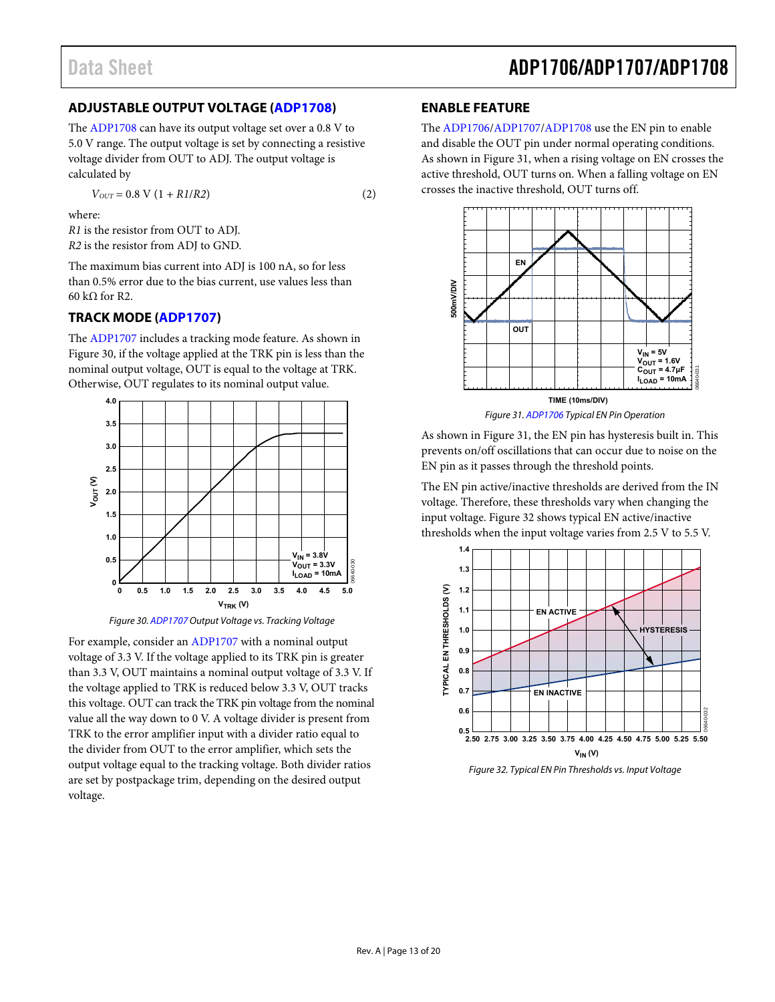### <span id="page-12-0"></span>**ADJUSTABLE OUTPUT VOLTAGE [\(ADP1708\)](http://www.analog.com/ADP1708?doc=ADP1706_1707_1708.pdf)**

The [ADP1708](http://www.analog.com/ADP1708?doc=ADP1706_1707_1708.pdf) can have its output voltage set over a 0.8 V to 5.0 V range. The output voltage is set by connecting a resistive voltage divider from OUT to ADJ. The output voltage is calculated by

 $V_{OUT} = 0.8 \text{ V} (1 + R1/R2)$  (2)

where:

*R1* is the resistor from OUT to ADJ. *R2* is the resistor from ADJ to GND.

The maximum bias current into ADJ is 100 nA, so for less than 0.5% error due to the bias current, use values less than 60 kΩ for R2.

#### <span id="page-12-1"></span>**TRACK MODE [\(ADP1707\)](http://www.analog.com/ADP1707?doc=ADP1706_1707_1708.pdf)**

The [ADP1707](http://www.analog.com/ADP1707?doc=ADP1706_1707_1708.pdf) includes a tracking mode feature. As shown in [Figure 30,](#page-12-3) if the voltage applied at the TRK pin is less than the nominal output voltage, OUT is equal to the voltage at TRK. Otherwise, OUT regulates to its nominal output value.





<span id="page-12-3"></span>For example, consider an [ADP1707](http://www.analog.com/ADP1707?doc=ADP1706_1707_1708.pdf) with a nominal output voltage of 3.3 V. If the voltage applied to its TRK pin is greater than 3.3 V, OUT maintains a nominal output voltage of 3.3 V. If the voltage applied to TRK is reduced below 3.3 V, OUT tracks this voltage. OUT can track the TRK pin voltage from the nominal value all the way down to 0 V. A voltage divider is present from TRK to the error amplifier input with a divider ratio equal to the divider from OUT to the error amplifier, which sets the output voltage equal to the tracking voltage. Both divider ratios are set by postpackage trim, depending on the desired output voltage.

### <span id="page-12-2"></span>**ENABLE FEATURE**

The [ADP1706](http://www.analog.com/ADP1706?doc=ADP1706_1707_1708.pdf)[/ADP1707/](http://www.analog.com/ADP1707?doc=ADP1706_1707_1708.pdf)[ADP1708 u](http://www.analog.com/ADP1708?doc=ADP1706_1707_1708.pdf)se the EN pin to enable and disable the OUT pin under normal operating conditions. As shown in [Figure 31,](#page-12-4) when a rising voltage on EN crosses the active threshold, OUT turns on. When a falling voltage on EN crosses the inactive threshold, OUT turns off.



Figure 31[. ADP1706 T](http://www.analog.com/ADP1706?doc=ADP1706_1707_1708.pdf)ypical EN Pin Operation

<span id="page-12-4"></span>As shown in [Figure 31,](#page-12-4) the EN pin has hysteresis built in. This prevents on/off oscillations that can occur due to noise on the EN pin as it passes through the threshold points.

The EN pin active/inactive thresholds are derived from the IN voltage. Therefore, these thresholds vary when changing the input voltage[. Figure 32](#page-12-5) shows typical EN active/inactive thresholds when the input voltage varies from 2.5 V to 5.5 V.



<span id="page-12-5"></span>Figure 32. Typical EN Pin Thresholds vs. Input Voltage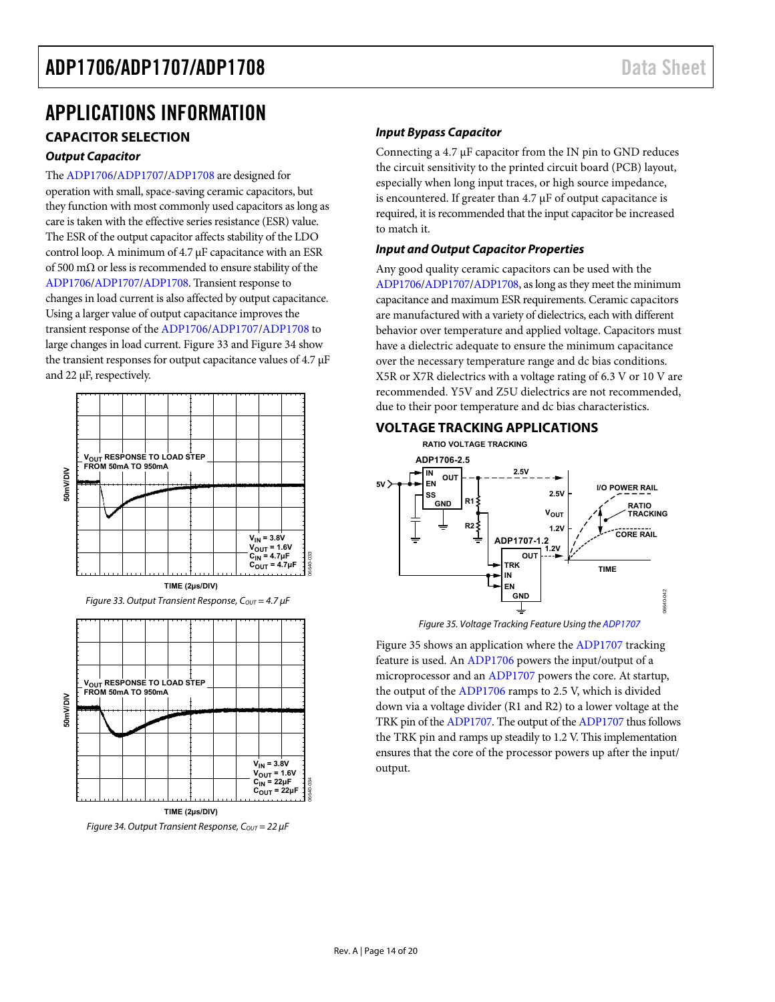### <span id="page-13-0"></span>APPLICATIONS INFORMATION

### <span id="page-13-1"></span>**CAPACITOR SELECTION**

#### **Output Capacitor**

Th[e ADP1706](http://www.analog.com/ADP1706?doc=ADP1706_1707_1708.pdf)[/ADP1707](http://www.analog.com/ADP1707?doc=ADP1706_1707_1708.pdf)[/ADP1708 a](http://www.analog.com/ADP1708?doc=ADP1706_1707_1708.pdf)re designed for operation with small, space-saving ceramic capacitors, but they function with most commonly used capacitors as long as care is taken with the effective series resistance (ESR) value. The ESR of the output capacitor affects stability of the LDO control loop. A minimum of 4.7 μF capacitance with an ESR of 500 mΩ or less is recommended to ensure stability of the [ADP1706](http://www.analog.com/ADP1706?doc=ADP1706_1707_1708.pdf)[/ADP1707](http://www.analog.com/ADP1707?doc=ADP1706_1707_1708.pdf)[/ADP1708.](http://www.analog.com/ADP1708?doc=ADP1706_1707_1708.pdf) Transient response to changes in load current is also affected by output capacitance. Using a larger value of output capacitance improves the transient response of th[e ADP1706/](http://www.analog.com/ADP1706?doc=ADP1706_1707_1708.pdf)[ADP1707/](http://www.analog.com/ADP1707?doc=ADP1706_1707_1708.pdf)[ADP1708 t](http://www.analog.com/ADP1708?doc=ADP1706_1707_1708.pdf)o large changes in load current[. Figure 33 a](#page-13-3)n[d Figure 34](#page-13-4) show the transient responses for output capacitance values of 4.7 μF and 22 μF, respectively.

<span id="page-13-3"></span>

#### **Input Bypass Capacitor**

Connecting a 4.7 μF capacitor from the IN pin to GND reduces the circuit sensitivity to the printed circuit board (PCB) layout, especially when long input traces, or high source impedance, is encountered. If greater than 4.7 μF of output capacitance is required, it is recommended that the input capacitor be increased to match it.

#### **Input and Output Capacitor Properties**

Any good quality ceramic capacitors can be used with the [ADP1706](http://www.analog.com/ADP1706?doc=ADP1706_1707_1708.pdf)[/ADP1707](http://www.analog.com/ADP1707?doc=ADP1706_1707_1708.pdf)[/ADP1708,](http://www.analog.com/ADP1708?doc=ADP1706_1707_1708.pdf) as long as they meet the minimum capacitance and maximum ESR requirements. Ceramic capacitors are manufactured with a variety of dielectrics, each with different behavior over temperature and applied voltage. Capacitors must have a dielectric adequate to ensure the minimum capacitance over the necessary temperature range and dc bias conditions. X5R or X7R dielectrics with a voltage rating of 6.3 V or 10 V are recommended. Y5V and Z5U dielectrics are not recommended, due to their poor temperature and dc bias characteristics.

#### <span id="page-13-2"></span>**VOLTAGE TRACKING APPLICATIONS**



Figure 35. Voltage Tracking Feature Using th[e ADP1707](http://www.analog.com/ADP1707?doc=ADP1706_1707_1708.pdf)

<span id="page-13-5"></span><span id="page-13-4"></span>[Figure 35 s](#page-13-5)hows an application where th[e ADP1707 t](http://www.analog.com/ADP1707?doc=ADP1706_1707_1708.pdf)racking feature is used. A[n ADP1706 p](http://www.analog.com/ADP1706?doc=ADP1706_1707_1708.pdf)owers the input/output of a microprocessor and an [ADP1707](http://www.analog.com/ADP1707?doc=ADP1706_1707_1708.pdf) powers the core. At startup, the output of th[e ADP1706 r](http://www.analog.com/ADP1706?doc=ADP1706_1707_1708.pdf)amps to 2.5 V, which is divided down via a voltage divider (R1 and R2) to a lower voltage at the TRK pin of th[e ADP1707.](http://www.analog.com/ADP1707?doc=ADP1706_1707_1708.pdf) The output of th[e ADP1707 t](http://www.analog.com/ADP1707?doc=ADP1706_1707_1708.pdf)hus follows the TRK pin and ramps up steadily to 1.2 V. This implementation ensures that the core of the processor powers up after the input/ output.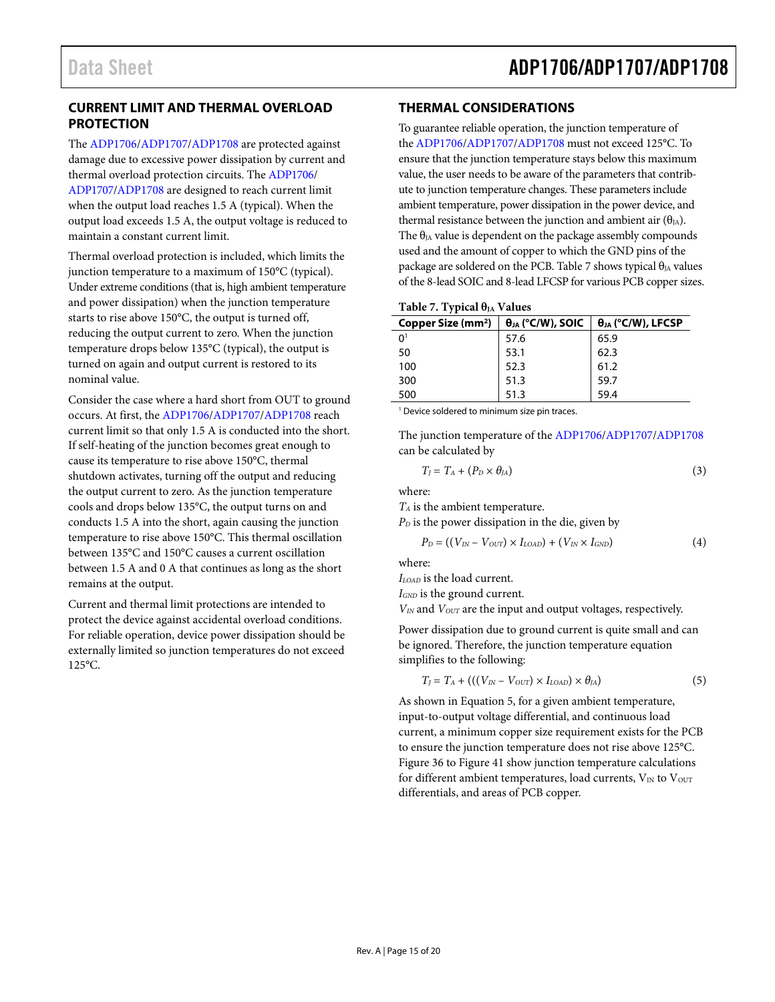### <span id="page-14-0"></span>**CURRENT LIMIT AND THERMAL OVERLOAD PROTECTION**

The [ADP1706](http://www.analog.com/ADP1706?doc=ADP1706_1707_1708.pdf)[/ADP1707/](http://www.analog.com/ADP1707?doc=ADP1706_1707_1708.pdf)[ADP1708 a](http://www.analog.com/ADP1708?doc=ADP1706_1707_1708.pdf)re protected against damage due to excessive power dissipation by current and thermal overload protection circuits. Th[e ADP1706/](http://www.analog.com/ADP1706?doc=ADP1706_1707_1708.pdf) [ADP1707](http://www.analog.com/ADP1707?doc=ADP1706_1707_1708.pdf)[/ADP1708 a](http://www.analog.com/ADP1708?doc=ADP1706_1707_1708.pdf)re designed to reach current limit when the output load reaches 1.5 A (typical). When the output load exceeds 1.5 A, the output voltage is reduced to maintain a constant current limit.

Thermal overload protection is included, which limits the junction temperature to a maximum of 150°C (typical). Under extreme conditions (that is, high ambient temperature and power dissipation) when the junction temperature starts to rise above 150°C, the output is turned off, reducing the output current to zero. When the junction temperature drops below 135°C (typical), the output is turned on again and output current is restored to its nominal value.

Consider the case where a hard short from OUT to ground occurs. At first, th[e ADP1706/](http://www.analog.com/ADP1706?doc=ADP1706_1707_1708.pdf)[ADP1707](http://www.analog.com/ADP1707?doc=ADP1706_1707_1708.pdf)[/ADP1708 r](http://www.analog.com/ADP1708?doc=ADP1706_1707_1708.pdf)each current limit so that only 1.5 A is conducted into the short. If self-heating of the junction becomes great enough to cause its temperature to rise above 150°C, thermal shutdown activates, turning off the output and reducing the output current to zero. As the junction temperature cools and drops below 135°C, the output turns on and conducts 1.5 A into the short, again causing the junction temperature to rise above 150°C. This thermal oscillation between 135°C and 150°C causes a current oscillation between 1.5 A and 0 A that continues as long as the short remains at the output.

Current and thermal limit protections are intended to protect the device against accidental overload conditions. For reliable operation, device power dissipation should be externally limited so junction temperatures do not exceed 125°C.

### <span id="page-14-1"></span>**THERMAL CONSIDERATIONS**

To guarantee reliable operation, the junction temperature of the [ADP1706/](http://www.analog.com/ADP1706?doc=ADP1706_1707_1708.pdf)[ADP1707](http://www.analog.com/ADP1707?doc=ADP1706_1707_1708.pdf)[/ADP1708](http://www.analog.com/ADP1708?doc=ADP1706_1707_1708.pdf) must not exceed 125°C. To ensure that the junction temperature stays below this maximum value, the user needs to be aware of the parameters that contribute to junction temperature changes. These parameters include ambient temperature, power dissipation in the power device, and thermal resistance between the junction and ambient air  $(\theta_{IA})$ . The  $\theta_{JA}$  value is dependent on the package assembly compounds used and the amount of copper to which the GND pins of the package are soldered on the PCB[. Table 7](#page-14-2) shows typical  $\theta_{JA}$  values of the 8-lead SOIC and 8-lead LFCSP for various PCB copper sizes.

#### <span id="page-14-2"></span>Table 7. Typical θ<sub>JA</sub> Values

| Copper Size (mm <sup>2</sup> ) | $\theta_{JA}$ (°C/W), SOIC | $\theta_{JA}$ (°C/W), LFCSP |  |
|--------------------------------|----------------------------|-----------------------------|--|
| 0 <sup>1</sup>                 | 57.6                       | 65.9                        |  |
| 50                             | 53.1                       | 62.3                        |  |
| 100                            | 52.3                       | 61.2                        |  |
| 300                            | 51.3                       | 59.7                        |  |
| 500                            | 51.3                       | 59.4                        |  |

1 Device soldered to minimum size pin traces.

The junction temperature of th[e ADP1706/](http://www.analog.com/ADP1706?doc=ADP1706_1707_1708.pdf)[ADP1707/](http://www.analog.com/ADP1707?doc=ADP1706_1707_1708.pdf)[ADP1708](http://www.analog.com/ADP1708?doc=ADP1706_1707_1708.pdf) can be calculated by

$$
T_J = T_A + (P_D \times \theta_{JA})
$$
 (3)

where:

*TA* is the ambient temperature.

 $P<sub>D</sub>$  is the power dissipation in the die, given by

$$
P_D = ((V_{IN} - V_{OUT}) \times I_{LOAD}) + (V_{IN} \times I_{GND}) \tag{4}
$$

where:

*ILOAD* is the load current.

*IGND* is the ground current.

*VIN* and *VOUT* are the input and output voltages, respectively.

Power dissipation due to ground current is quite small and can be ignored. Therefore, the junction temperature equation simplifies to the following:

$$
T_J = T_A + (((V_{IN} - V_{OUT}) \times I_{LOAD}) \times \theta_{JA})
$$
\n
$$
(5)
$$

As shown in Equation 5, for a given ambient temperature, input-to-output voltage differential, and continuous load current, a minimum copper size requirement exists for the PCB to ensure the junction temperature does not rise above 125°C. [Figure 36 t](#page-15-0)[o Figure 41](#page-15-1) show junction temperature calculations for different ambient temperatures, load currents,  $V_{IN}$  to  $V_{OUT}$ differentials, and areas of PCB copper.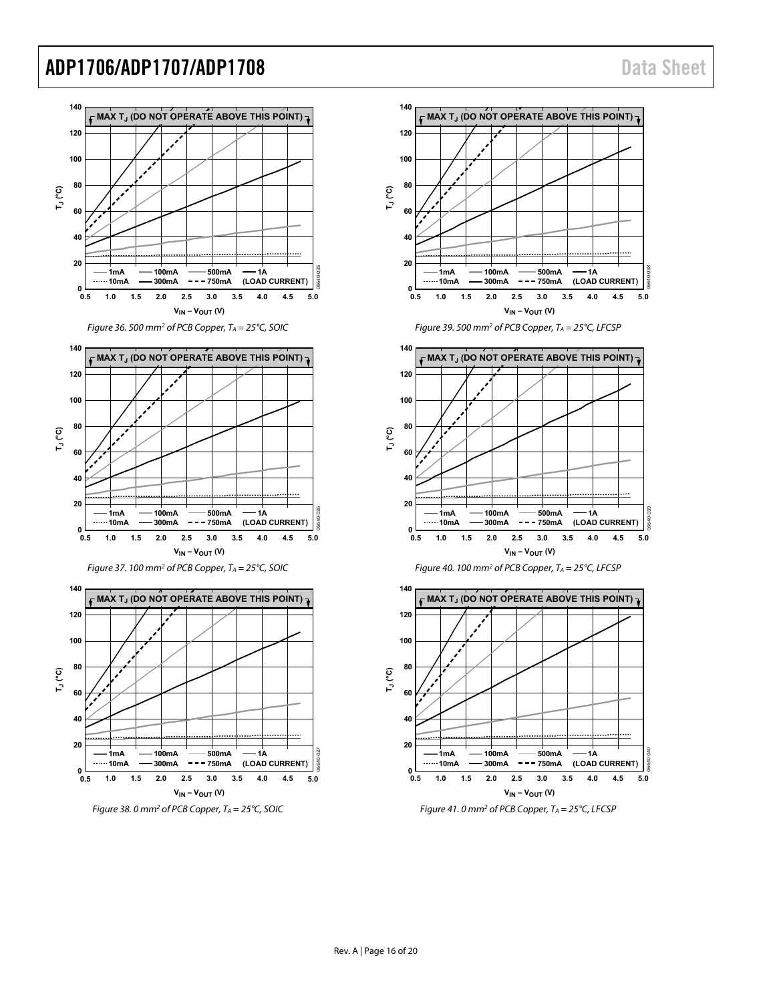06640-038

06640-039

<span id="page-15-1"></span>06640-040

<span id="page-15-0"></span>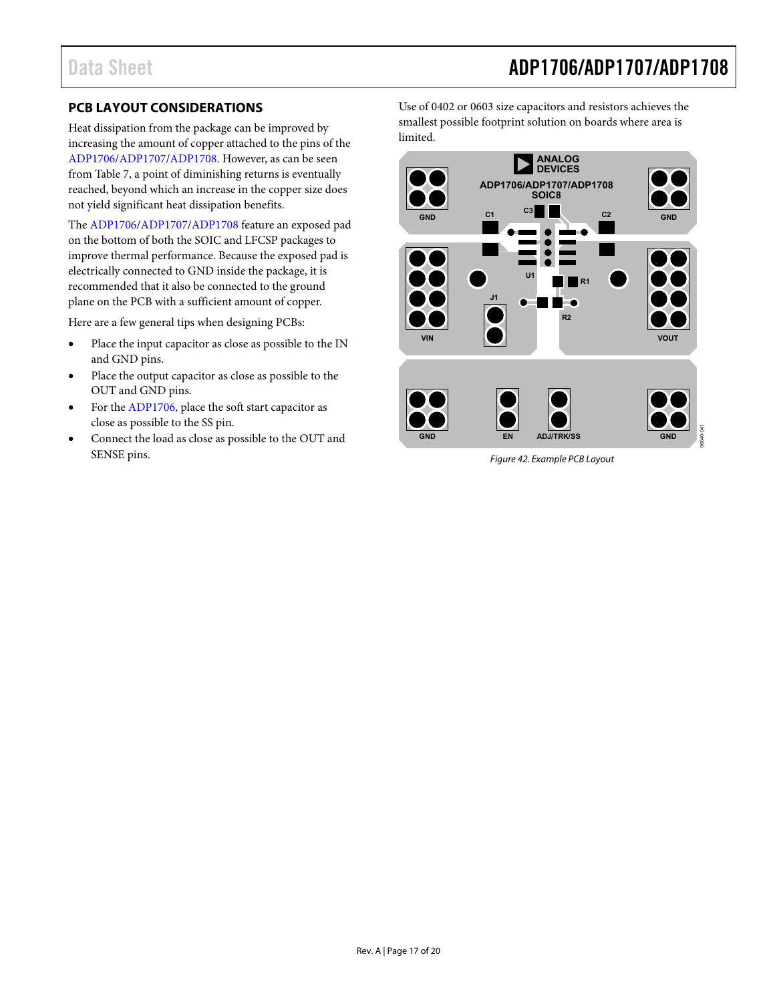### <span id="page-16-0"></span>**PCB LAYOUT CONSIDERATIONS**

Heat dissipation from the package can be improved by increasing the amount of copper attached to the pins of the [ADP1706](http://www.analog.com/ADP1706?doc=ADP1706_1707_1708.pdf)[/ADP1707](http://www.analog.com/ADP1707?doc=ADP1706_1707_1708.pdf)[/ADP1708.](http://www.analog.com/ADP1708?doc=ADP1706_1707_1708.pdf) However, as can be seen from [Table 7,](#page-14-2) a point of diminishing returns is eventually reached, beyond which an increase in the copper size does not yield significant heat dissipation benefits.

The [ADP1706](http://www.analog.com/ADP1706?doc=ADP1706_1707_1708.pdf)[/ADP1707/](http://www.analog.com/ADP1707?doc=ADP1706_1707_1708.pdf)[ADP1708](http://www.analog.com/ADP1708?doc=ADP1706_1707_1708.pdf) feature an exposed pad on the bottom of both the SOIC and LFCSP packages to improve thermal performance. Because the exposed pad is electrically connected to GND inside the package, it is recommended that it also be connected to the ground plane on the PCB with a sufficient amount of copper.

Here are a few general tips when designing PCBs:

- Place the input capacitor as close as possible to the IN and GND pins.
- Place the output capacitor as close as possible to the OUT and GND pins.
- For th[e ADP1706,](http://www.analog.com/ADP1706?doc=ADP1706_1707_1708.pdf) place the soft start capacitor as close as possible to the SS pin.
- Connect the load as close as possible to the OUT and SENSE pins.

Use of 0402 or 0603 size capacitors and resistors achieves the smallest possible footprint solution on boards where area is limited.



*Figure 42. Example PCB Layout*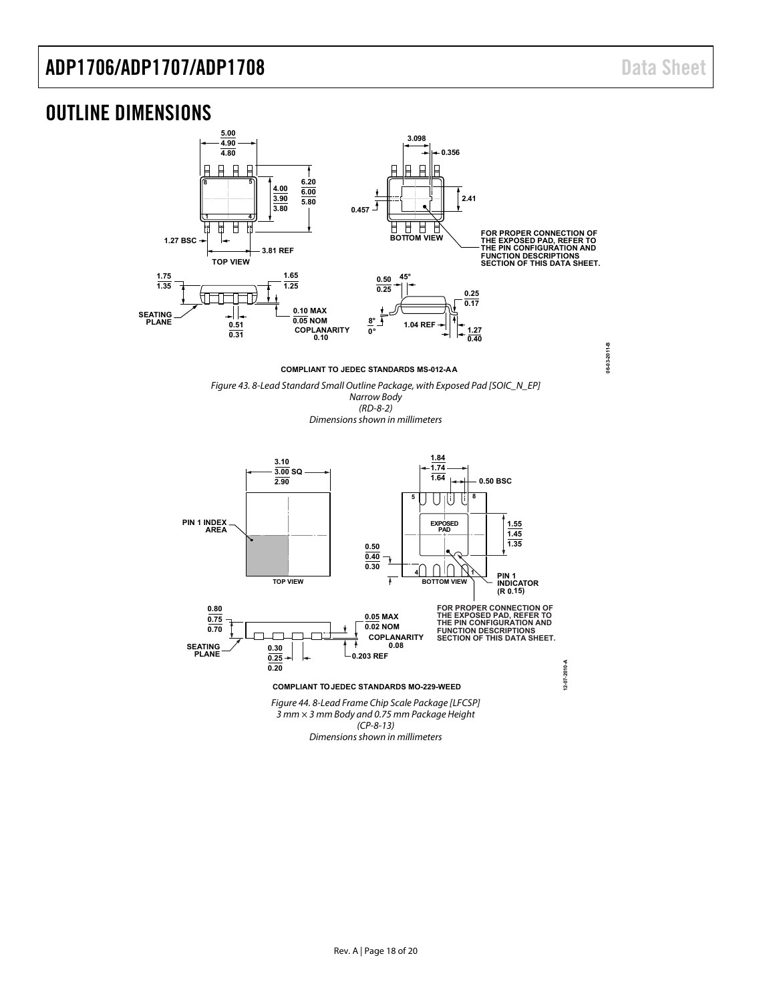### <span id="page-17-0"></span>OUTLINE DIMENSIONS



**COMPLIANT TO JEDEC STANDARDS MS-012-AA**

*Figure 43. 8-Lead Standard Small Outline Package, with Exposed Pad [SOIC\_N\_EP] Narrow Body (RD-8-2)*

*Dimensions shown in millimeters*



*(CP-8-13) Dimensions shown in millimeters*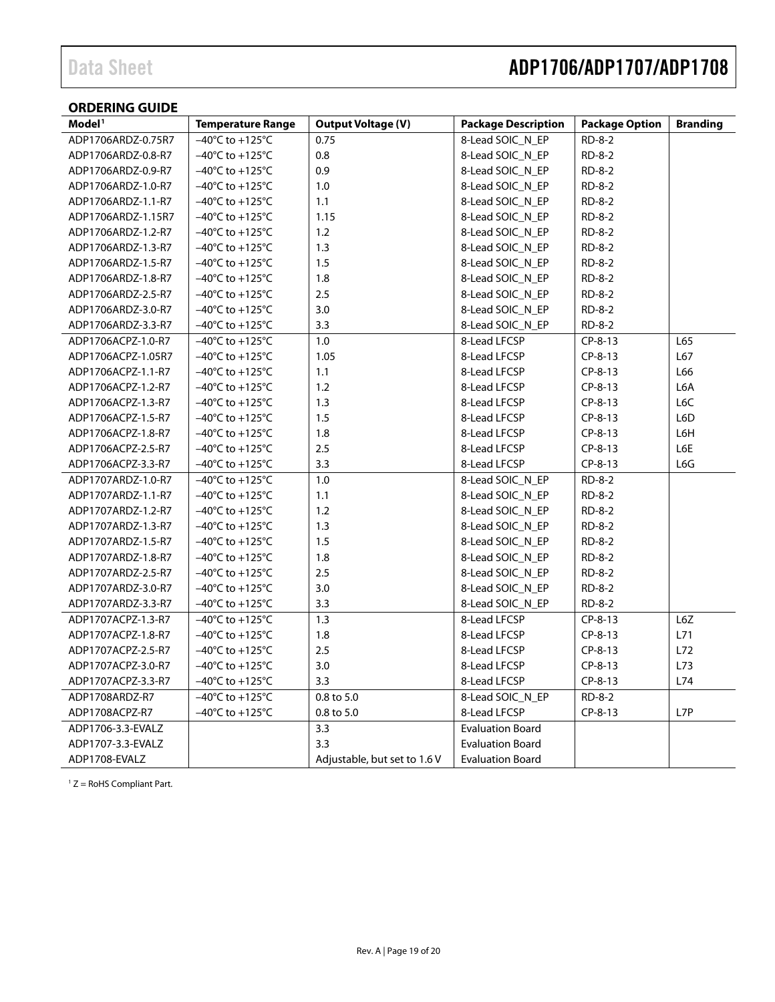### <span id="page-18-0"></span>**ORDERING GUIDE**

| Model <sup>1</sup> | <b>Temperature Range</b>             | <b>Output Voltage (V)</b>    | <b>Package Description</b> | <b>Package Option</b> | <b>Branding</b> |
|--------------------|--------------------------------------|------------------------------|----------------------------|-----------------------|-----------------|
| ADP1706ARDZ-0.75R7 | $-40^{\circ}$ C to +125 $^{\circ}$ C | 0.75                         | 8-Lead SOIC_N_EP           | RD-8-2                |                 |
| ADP1706ARDZ-0.8-R7 | $-40^{\circ}$ C to $+125^{\circ}$ C  | 0.8                          | 8-Lead SOIC N EP           | RD-8-2                |                 |
| ADP1706ARDZ-0.9-R7 | $-40^{\circ}$ C to $+125^{\circ}$ C  | 0.9                          | 8-Lead SOIC_N_EP           | RD-8-2                |                 |
| ADP1706ARDZ-1.0-R7 | $-40^{\circ}$ C to $+125^{\circ}$ C  | 1.0                          | 8-Lead SOIC_N_EP           | RD-8-2                |                 |
| ADP1706ARDZ-1.1-R7 | $-40^{\circ}$ C to $+125^{\circ}$ C  | 1.1                          | 8-Lead SOIC N EP           | RD-8-2                |                 |
| ADP1706ARDZ-1.15R7 | $-40^{\circ}$ C to $+125^{\circ}$ C  | 1.15                         | 8-Lead SOIC_N_EP           | RD-8-2                |                 |
| ADP1706ARDZ-1.2-R7 | $-40^{\circ}$ C to $+125^{\circ}$ C  | 1.2                          | 8-Lead SOIC_N_EP           | RD-8-2                |                 |
| ADP1706ARDZ-1.3-R7 | $-40^{\circ}$ C to $+125^{\circ}$ C  | 1.3                          | 8-Lead SOIC_N_EP           | RD-8-2                |                 |
| ADP1706ARDZ-1.5-R7 | $-40^{\circ}$ C to $+125^{\circ}$ C  | 1.5                          | 8-Lead SOIC_N_EP           | RD-8-2                |                 |
| ADP1706ARDZ-1.8-R7 | $-40^{\circ}$ C to $+125^{\circ}$ C  | 1.8                          | 8-Lead SOIC_N_EP           | RD-8-2                |                 |
| ADP1706ARDZ-2.5-R7 | $-40^{\circ}$ C to $+125^{\circ}$ C  | 2.5                          | 8-Lead SOIC_N_EP           | RD-8-2                |                 |
| ADP1706ARDZ-3.0-R7 | $-40^{\circ}$ C to $+125^{\circ}$ C  | 3.0                          | 8-Lead SOIC_N_EP           | RD-8-2                |                 |
| ADP1706ARDZ-3.3-R7 | $-40^{\circ}$ C to $+125^{\circ}$ C  | 3.3                          | 8-Lead SOIC_N_EP           | RD-8-2                |                 |
| ADP1706ACPZ-1.0-R7 | $-40^{\circ}$ C to +125 $^{\circ}$ C | 1.0                          | 8-Lead LFCSP               | $CP-8-13$             | L65             |
| ADP1706ACPZ-1.05R7 | $-40^{\circ}$ C to $+125^{\circ}$ C  | 1.05                         | 8-Lead LFCSP               | CP-8-13               | L67             |
| ADP1706ACPZ-1.1-R7 | $-40^{\circ}$ C to $+125^{\circ}$ C  | 1.1                          | 8-Lead LFCSP               | CP-8-13               | L66             |
| ADP1706ACPZ-1.2-R7 | $-40^{\circ}$ C to $+125^{\circ}$ C  | 1.2                          | 8-Lead LFCSP               | CP-8-13               | L6A             |
| ADP1706ACPZ-1.3-R7 | $-40^{\circ}$ C to $+125^{\circ}$ C  | 1.3                          | 8-Lead LFCSP               | $CP-8-13$             | L6C             |
| ADP1706ACPZ-1.5-R7 | $-40^{\circ}$ C to $+125^{\circ}$ C  | 1.5                          | 8-Lead LFCSP               | CP-8-13               | L6D             |
| ADP1706ACPZ-1.8-R7 | $-40^{\circ}$ C to $+125^{\circ}$ C  | 1.8                          | 8-Lead LFCSP               | CP-8-13               | L6H             |
| ADP1706ACPZ-2.5-R7 | $-40^{\circ}$ C to $+125^{\circ}$ C  | 2.5                          | 8-Lead LFCSP               | CP-8-13               | L6E             |
| ADP1706ACPZ-3.3-R7 | $-40^{\circ}$ C to $+125^{\circ}$ C  | 3.3                          | 8-Lead LFCSP               | $CP-8-13$             | L6G             |
| ADP1707ARDZ-1.0-R7 | $-40^{\circ}$ C to $+125^{\circ}$ C  | 1.0                          | 8-Lead SOIC_N_EP           | RD-8-2                |                 |
| ADP1707ARDZ-1.1-R7 | $-40^{\circ}$ C to $+125^{\circ}$ C  | 1.1                          | 8-Lead SOIC_N_EP           | RD-8-2                |                 |
| ADP1707ARDZ-1.2-R7 | $-40^{\circ}$ C to $+125^{\circ}$ C  | 1.2                          | 8-Lead SOIC_N_EP           | RD-8-2                |                 |
| ADP1707ARDZ-1.3-R7 | $-40^{\circ}$ C to $+125^{\circ}$ C  | 1.3                          | 8-Lead SOIC_N_EP           | RD-8-2                |                 |
| ADP1707ARDZ-1.5-R7 | $-40^{\circ}$ C to $+125^{\circ}$ C  | 1.5                          | 8-Lead SOIC_N_EP           | RD-8-2                |                 |
| ADP1707ARDZ-1.8-R7 | $-40^{\circ}$ C to $+125^{\circ}$ C  | 1.8                          | 8-Lead SOIC_N_EP           | RD-8-2                |                 |
| ADP1707ARDZ-2.5-R7 | $-40^{\circ}$ C to $+125^{\circ}$ C  | 2.5                          | 8-Lead SOIC N EP           | RD-8-2                |                 |
| ADP1707ARDZ-3.0-R7 | $-40^{\circ}$ C to $+125^{\circ}$ C  | 3.0                          | 8-Lead SOIC_N_EP           | RD-8-2                |                 |
| ADP1707ARDZ-3.3-R7 | $-40^{\circ}$ C to $+125^{\circ}$ C  | 3.3                          | 8-Lead SOIC_N_EP           | RD-8-2                |                 |
| ADP1707ACPZ-1.3-R7 | $-40^{\circ}$ C to $+125^{\circ}$ C  | 1.3                          | 8-Lead LFCSP               | CP-8-13               | L6Z             |
| ADP1707ACPZ-1.8-R7 | $-40^{\circ}$ C to $+125^{\circ}$ C  | 1.8                          | 8-Lead LFCSP               | $CP-8-13$             | L71             |
| ADP1707ACPZ-2.5-R7 | $-40^{\circ}$ C to $+125^{\circ}$ C  | 2.5                          | 8-Lead LFCSP               | $CP-8-13$             | L72             |
| ADP1707ACPZ-3.0-R7 | $-40^{\circ}$ C to $+125^{\circ}$ C  | 3.0                          | 8-Lead LFCSP               | CP-8-13               | L73             |
| ADP1707ACPZ-3.3-R7 | $-40^{\circ}$ C to $+125^{\circ}$ C  | 3.3                          | 8-Lead LFCSP               | CP-8-13               | L74             |
| ADP1708ARDZ-R7     | $-40^{\circ}$ C to $+125^{\circ}$ C  | 0.8 to 5.0                   | 8-Lead SOIC_N_EP           | RD-8-2                |                 |
| ADP1708ACPZ-R7     | $-40^{\circ}$ C to $+125^{\circ}$ C  | 0.8 to 5.0                   | 8-Lead LFCSP               | CP-8-13               | L7P             |
| ADP1706-3.3-EVALZ  |                                      | 3.3                          | <b>Evaluation Board</b>    |                       |                 |
| ADP1707-3.3-EVALZ  |                                      | 3.3                          | <b>Evaluation Board</b>    |                       |                 |
| ADP1708-EVALZ      |                                      | Adjustable, but set to 1.6 V | <b>Evaluation Board</b>    |                       |                 |

 $1 Z =$  RoHS Compliant Part.